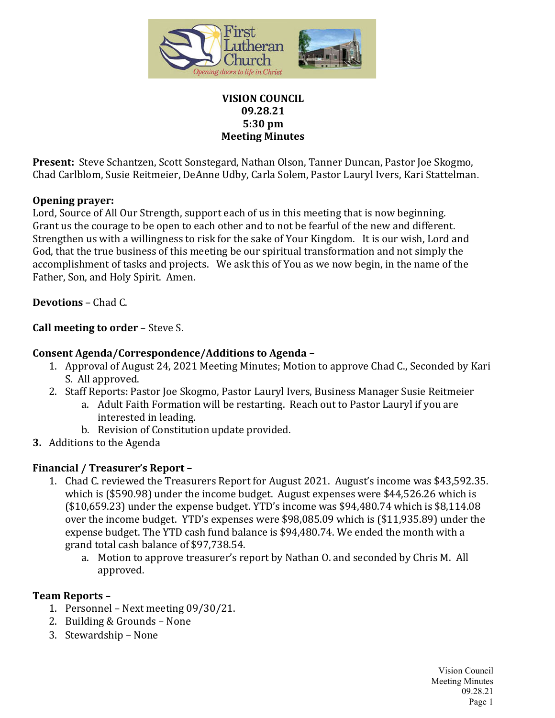

### **VISION COUNCIL 09.28.21 5:30 pm Meeting Minutes**

**Present:** Steve Schantzen, Scott Sonstegard, Nathan Olson, Tanner Duncan, Pastor Joe Skogmo, Chad Carlblom, Susie Reitmeier, DeAnne Udby, Carla Solem, Pastor Lauryl Ivers, Kari Stattelman.

### **Opening prayer:**

Lord, Source of All Our Strength, support each of us in this meeting that is now beginning. Grant us the courage to be open to each other and to not be fearful of the new and different. Strengthen us with a willingness to risk for the sake of Your Kingdom. It is our wish, Lord and God, that the true business of this meeting be our spiritual transformation and not simply the accomplishment of tasks and projects. We ask this of You as we now begin, in the name of the Father, Son, and Holy Spirit. Amen.

**Devotions** – Chad C.

**Call meeting to order** – Steve S.

# **Consent Agenda/Correspondence/Additions to Agenda –**

- 1. Approval of August 24, 2021 Meeting Minutes; Motion to approve Chad C., Seconded by Kari S. All approved.
- 2. Staff Reports: Pastor Joe Skogmo, Pastor Lauryl Ivers, Business Manager Susie Reitmeier
	- a. Adult Faith Formation will be restarting. Reach out to Pastor Lauryl if you are interested in leading.
	- b. Revision of Constitution update provided.
- **3.** Additions to the Agenda

## **Financial / Treasurer's Report –**

- 1. Chad C. reviewed the Treasurers Report for August 2021. August's income was \$43,592.35. which is (\$590.98) under the income budget. August expenses were \$44,526.26 which is (\$10,659.23) under the expense budget. YTD's income was \$94,480.74 which is \$8,114.08 over the income budget. YTD's expenses were \$98,085.09 which is (\$11,935.89) under the expense budget. The YTD cash fund balance is \$94,480.74. We ended the month with a grand total cash balance of \$97,738.54.
	- a. Motion to approve treasurer's report by Nathan O. and seconded by Chris M. All approved.

## **Team Reports –**

- 1. Personnel Next meeting 09/30/21.
- 2. Building & Grounds None
- 3. Stewardship None

Vision Council Meeting Minutes 09.28.21 Page 1